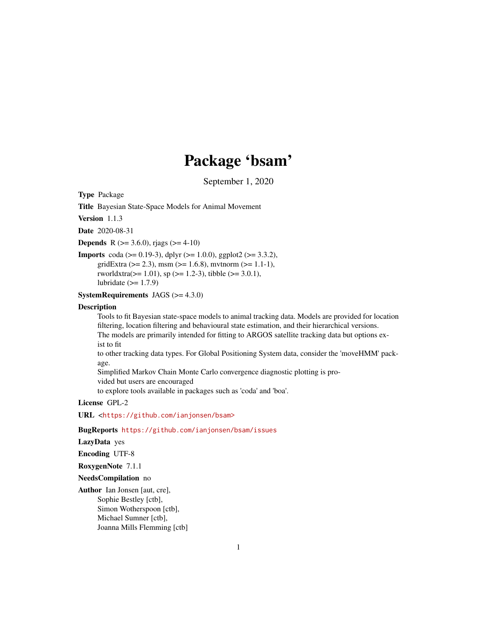## Package 'bsam'

September 1, 2020

Type Package

Title Bayesian State-Space Models for Animal Movement

Version 1.1.3

Date 2020-08-31

**Depends** R ( $>= 3.6.0$ ), rjags ( $>= 4-10$ )

**Imports** coda ( $> = 0.19-3$ ), dplyr ( $> = 1.0.0$ ), ggplot2 ( $> = 3.3.2$ ), gridExtra ( $>= 2.3$ ), msm ( $>= 1.6.8$ ), mvtnorm ( $>= 1.1-1$ ), rworldxtra( $>= 1.01$ ), sp ( $>= 1.2-3$ ), tibble ( $>= 3.0.1$ ), lubridate  $(>= 1.7.9)$ 

**SystemRequirements** JAGS  $(>= 4.3.0)$ 

#### **Description**

Tools to fit Bayesian state-space models to animal tracking data. Models are provided for location filtering, location filtering and behavioural state estimation, and their hierarchical versions. The models are primarily intended for fitting to ARGOS satellite tracking data but options exist to fit

to other tracking data types. For Global Positioning System data, consider the 'moveHMM' package.

Simplified Markov Chain Monte Carlo convergence diagnostic plotting is provided but users are encouraged

to explore tools available in packages such as 'coda' and 'boa'.

#### License GPL-2

URL <<https://github.com/ianjonsen/bsam>>

#### BugReports <https://github.com/ianjonsen/bsam/issues>

#### LazyData yes

Encoding UTF-8

RoxygenNote 7.1.1

#### NeedsCompilation no

Author Ian Jonsen [aut, cre], Sophie Bestley [ctb], Simon Wotherspoon [ctb], Michael Sumner [ctb], Joanna Mills Flemming [ctb]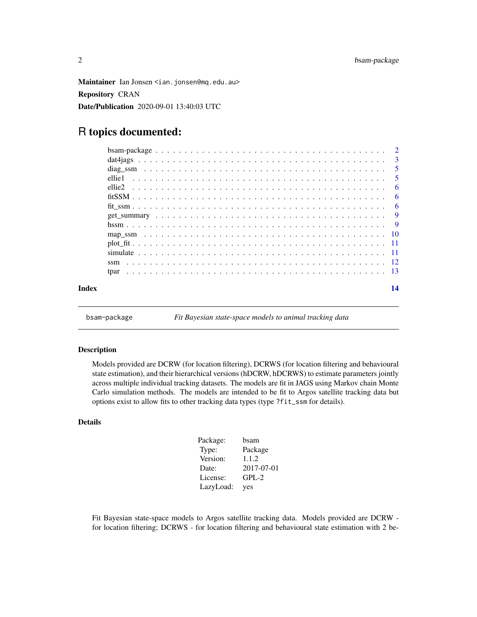<span id="page-1-0"></span>Maintainer Ian Jonsen <ian.jonsen@mq.edu.au> Repository CRAN Date/Publication 2020-09-01 13:40:03 UTC

### R topics documented:

| Index |          | 14 |
|-------|----------|----|
|       |          |    |
|       |          |    |
|       |          |    |
|       |          |    |
|       |          |    |
|       |          |    |
|       |          |    |
|       |          |    |
|       |          |    |
|       |          |    |
|       | ellie1 - |    |
|       |          |    |
|       |          |    |
|       |          |    |

bsam-package *Fit Bayesian state-space models to animal tracking data*

#### Description

Models provided are DCRW (for location filtering), DCRWS (for location filtering and behavioural state estimation), and their hierarchical versions (hDCRW, hDCRWS) to estimate parameters jointly across multiple individual tracking datasets. The models are fit in JAGS using Markov chain Monte Carlo simulation methods. The models are intended to be fit to Argos satellite tracking data but options exist to allow fits to other tracking data types (type ?fit\_ssm for details).

#### Details

| Package:  | bsam       |
|-----------|------------|
| Type:     | Package    |
| Version:  | 1.1.2      |
| Date:     | 2017-07-01 |
| License:  | $GPL-2$    |
| LazyLoad: | yes        |

Fit Bayesian state-space models to Argos satellite tracking data. Models provided are DCRW for location filtering; DCRWS - for location filtering and behavioural state estimation with 2 be-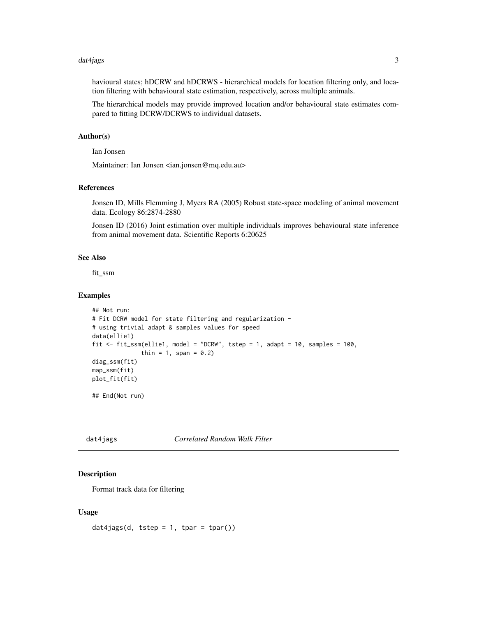#### <span id="page-2-0"></span>dat4jags 3

havioural states; hDCRW and hDCRWS - hierarchical models for location filtering only, and location filtering with behavioural state estimation, respectively, across multiple animals.

The hierarchical models may provide improved location and/or behavioural state estimates compared to fitting DCRW/DCRWS to individual datasets.

#### Author(s)

Ian Jonsen

Maintainer: Ian Jonsen <ian.jonsen@mq.edu.au>

#### References

Jonsen ID, Mills Flemming J, Myers RA (2005) Robust state-space modeling of animal movement data. Ecology 86:2874-2880

Jonsen ID (2016) Joint estimation over multiple individuals improves behavioural state inference from animal movement data. Scientific Reports 6:20625

#### See Also

fit\_ssm

#### Examples

```
## Not run:
# Fit DCRW model for state filtering and regularization -
# using trivial adapt & samples values for speed
data(ellie1)
fit \le fit_ssm(ellie1, model = "DCRW", tstep = 1, adapt = 10, samples = 100,
              thin = 1, span = 0.2)
diag_ssm(fit)
map_ssm(fit)
plot_fit(fit)
```
## End(Not run)

<span id="page-2-1"></span>dat4jags *Correlated Random Walk Filter*

#### Description

Format track data for filtering

#### Usage

dat4jags(d, tstep =  $1$ , tpar = tpar())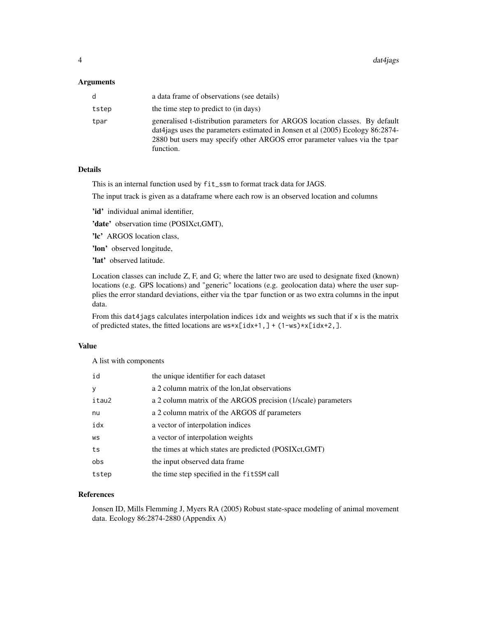#### Arguments

| d     | a data frame of observations (see details)                                                                                                                                                                                                                   |
|-------|--------------------------------------------------------------------------------------------------------------------------------------------------------------------------------------------------------------------------------------------------------------|
| tstep | the time step to predict to (in days)                                                                                                                                                                                                                        |
| tpar  | generalised t-distribution parameters for ARGOS location classes. By default<br>data data uses the parameters estimated in Jonsen et al $(2005)$ Ecology 86:2874-<br>2880 but users may specify other ARGOS error parameter values via the tpar<br>function. |

#### **Details**

This is an internal function used by fit\_ssm to format track data for JAGS.

The input track is given as a dataframe where each row is an observed location and columns

'id' individual animal identifier,

'date' observation time (POSIXct,GMT),

'lc' ARGOS location class,

'lon' observed longitude,

'lat' observed latitude.

Location classes can include Z, F, and G; where the latter two are used to designate fixed (known) locations (e.g. GPS locations) and "generic" locations (e.g. geolocation data) where the user supplies the error standard deviations, either via the tpar function or as two extra columns in the input data.

From this dat4jags calculates interpolation indices idx and weights ws such that if x is the matrix of predicted states, the fitted locations are ws\*x[idx+1,] + (1-ws)\*x[idx+2,].

#### Value

A list with components

| id    | the unique identifier for each dataset                        |
|-------|---------------------------------------------------------------|
| У     | a 2 column matrix of the lon, lat observations                |
| itau2 | a 2 column matrix of the ARGOS precision (1/scale) parameters |
| nu    | a 2 column matrix of the ARGOS df parameters                  |
| idx   | a vector of interpolation indices                             |
| WS    | a vector of interpolation weights                             |
| ts    | the times at which states are predicted (POSIXct, GMT)        |
| obs   | the input observed data frame                                 |
| tstep | the time step specified in the fitSSM call                    |

#### References

Jonsen ID, Mills Flemming J, Myers RA (2005) Robust state-space modeling of animal movement data. Ecology 86:2874-2880 (Appendix A)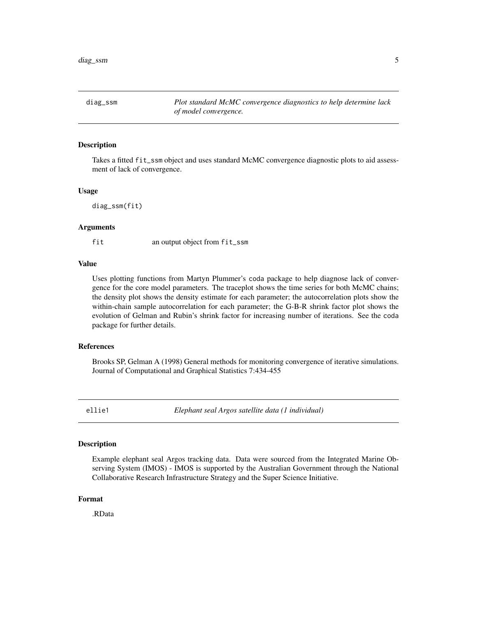<span id="page-4-0"></span>diag\_ssm *Plot standard McMC convergence diagnostics to help determine lack of model convergence.*

#### Description

Takes a fitted fit\_ssm object and uses standard McMC convergence diagnostic plots to aid assessment of lack of convergence.

#### Usage

diag\_ssm(fit)

#### Arguments

fit an output object from fit\_ssm

#### Value

Uses plotting functions from Martyn Plummer's coda package to help diagnose lack of convergence for the core model parameters. The traceplot shows the time series for both McMC chains; the density plot shows the density estimate for each parameter; the autocorrelation plots show the within-chain sample autocorrelation for each parameter; the G-B-R shrink factor plot shows the evolution of Gelman and Rubin's shrink factor for increasing number of iterations. See the coda package for further details.

#### References

Brooks SP, Gelman A (1998) General methods for monitoring convergence of iterative simulations. Journal of Computational and Graphical Statistics 7:434-455

ellie1 *Elephant seal Argos satellite data (1 individual)*

#### Description

Example elephant seal Argos tracking data. Data were sourced from the Integrated Marine Observing System (IMOS) - IMOS is supported by the Australian Government through the National Collaborative Research Infrastructure Strategy and the Super Science Initiative.

#### Format

.RData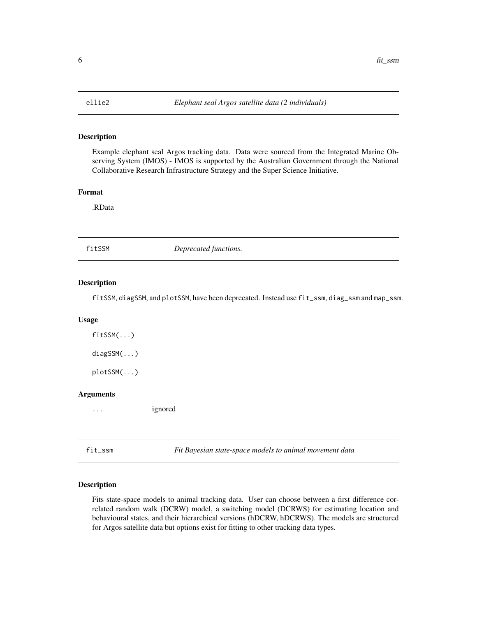<span id="page-5-0"></span>

#### Description

Example elephant seal Argos tracking data. Data were sourced from the Integrated Marine Observing System (IMOS) - IMOS is supported by the Australian Government through the National Collaborative Research Infrastructure Strategy and the Super Science Initiative.

#### Format

.RData

fitSSM *Deprecated functions.*

#### Description

fitSSM, diagSSM, and plotSSM, have been deprecated. Instead use fit\_ssm, diag\_ssm and map\_ssm.

#### Usage

fitSSM(...) diagSSM(...)

plotSSM(...)

#### Arguments

... ignored

<span id="page-5-1"></span>fit\_ssm *Fit Bayesian state-space models to animal movement data*

#### Description

Fits state-space models to animal tracking data. User can choose between a first difference correlated random walk (DCRW) model, a switching model (DCRWS) for estimating location and behavioural states, and their hierarchical versions (hDCRW, hDCRWS). The models are structured for Argos satellite data but options exist for fitting to other tracking data types.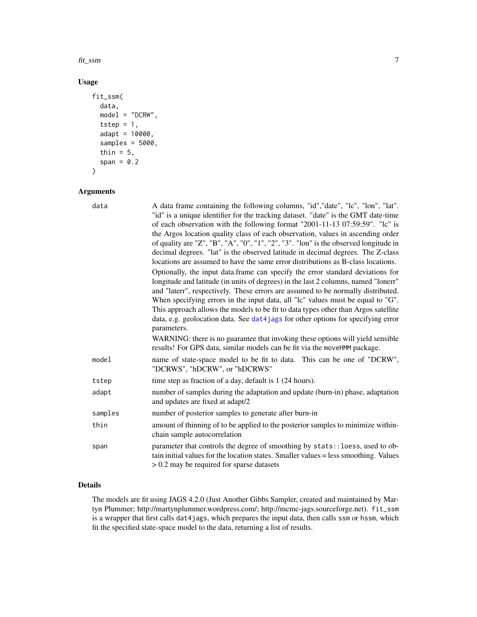<span id="page-6-0"></span>fit\_ssm  $\frac{7}{2}$ 

#### Usage

```
fit_ssm(
  data,
 model = "DCRW",
  tstep = 1,
  adapt = 10000,
  samples = 5000,
  thin = 5,
  span = 0.2)
```
#### Arguments

| data    | A data frame containing the following columns, "id", "date", "lc", "lon", "lat".<br>"id" is a unique identifier for the tracking dataset. "date" is the GMT date-time<br>of each observation with the following format "2001-11-13 07:59:59". "lc" is<br>the Argos location quality class of each observation, values in ascending order<br>of quality are "Z", "B", "A", "0", "1", "2", "3". "lon" is the observed longitude in<br>decimal degrees. "lat" is the observed latitude in decimal degrees. The Z-class<br>locations are assumed to have the same error distributions as B-class locations.<br>Optionally, the input data frame can specify the error standard deviations for<br>longitude and latitude (in units of degrees) in the last 2 columns, named "lonerr"<br>and "laterr", respectively. These errors are assumed to be normally distributed.<br>When specifying errors in the input data, all "lc" values must be equal to "G". |
|---------|--------------------------------------------------------------------------------------------------------------------------------------------------------------------------------------------------------------------------------------------------------------------------------------------------------------------------------------------------------------------------------------------------------------------------------------------------------------------------------------------------------------------------------------------------------------------------------------------------------------------------------------------------------------------------------------------------------------------------------------------------------------------------------------------------------------------------------------------------------------------------------------------------------------------------------------------------------|
|         | This approach allows the models to be fit to data types other than Argos satellite<br>data, e.g. geolocation data. See dat4jags for other options for specifying error<br>parameters.                                                                                                                                                                                                                                                                                                                                                                                                                                                                                                                                                                                                                                                                                                                                                                  |
|         | WARNING: there is no guarantee that invoking these options will yield sensible<br>results! For GPS data, similar models can be fit via the moveHMM package.                                                                                                                                                                                                                                                                                                                                                                                                                                                                                                                                                                                                                                                                                                                                                                                            |
| model   | name of state-space model to be fit to data. This can be one of "DCRW",<br>"DCRWS", "hDCRW", or "hDCRWS"                                                                                                                                                                                                                                                                                                                                                                                                                                                                                                                                                                                                                                                                                                                                                                                                                                               |
| tstep   | time step as fraction of a day, default is 1 (24 hours).                                                                                                                                                                                                                                                                                                                                                                                                                                                                                                                                                                                                                                                                                                                                                                                                                                                                                               |
| adapt   | number of samples during the adaptation and update (burn-in) phase, adaptation<br>and updates are fixed at adapt/2                                                                                                                                                                                                                                                                                                                                                                                                                                                                                                                                                                                                                                                                                                                                                                                                                                     |
| samples | number of posterior samples to generate after burn-in                                                                                                                                                                                                                                                                                                                                                                                                                                                                                                                                                                                                                                                                                                                                                                                                                                                                                                  |
| thin    | amount of thinning of to be applied to the posterior samples to minimize within-<br>chain sample autocorrelation                                                                                                                                                                                                                                                                                                                                                                                                                                                                                                                                                                                                                                                                                                                                                                                                                                       |
| span    | parameter that controls the degree of smoothing by stats:: loess, used to ob-<br>tain initial values for the location states. Smaller values = less smoothing. Values<br>$> 0.2$ may be required for sparse datasets                                                                                                                                                                                                                                                                                                                                                                                                                                                                                                                                                                                                                                                                                                                                   |

#### Details

The models are fit using JAGS 4.2.0 (Just Another Gibbs Sampler, created and maintained by Martyn Plummer; http://martynplummer.wordpress.com/; http://mcmc-jags.sourceforge.net). fit\_ssm is a wrapper that first calls dat4jags, which prepares the input data, then calls ssm or hssm, which fit the specified state-space model to the data, returning a list of results.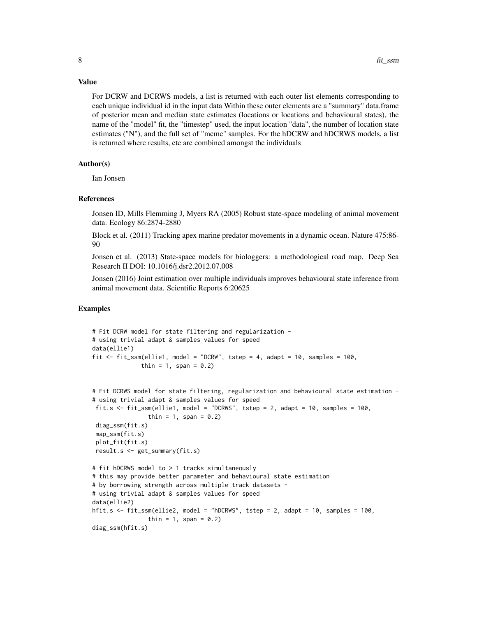#### Value

For DCRW and DCRWS models, a list is returned with each outer list elements corresponding to each unique individual id in the input data Within these outer elements are a "summary" data.frame of posterior mean and median state estimates (locations or locations and behavioural states), the name of the "model" fit, the "timestep" used, the input location "data", the number of location state estimates ("N"), and the full set of "mcmc" samples. For the hDCRW and hDCRWS models, a list is returned where results, etc are combined amongst the individuals

#### Author(s)

Ian Jonsen

#### References

Jonsen ID, Mills Flemming J, Myers RA (2005) Robust state-space modeling of animal movement data. Ecology 86:2874-2880

Block et al. (2011) Tracking apex marine predator movements in a dynamic ocean. Nature 475:86- 90

Jonsen et al. (2013) State-space models for biologgers: a methodological road map. Deep Sea Research II DOI: 10.1016/j.dsr2.2012.07.008

Jonsen (2016) Joint estimation over multiple individuals improves behavioural state inference from animal movement data. Scientific Reports 6:20625

#### Examples

```
# Fit DCRW model for state filtering and regularization -
# using trivial adapt & samples values for speed
data(ellie1)
fit \le fit_ssm(ellie1, model = "DCRW", tstep = 4, adapt = 10, samples = 100,
              thin = 1, span = 0.2)
```

```
# Fit DCRWS model for state filtering, regularization and behavioural state estimation -
# using trivial adapt & samples values for speed
fit.s \le fit_ssm(ellie1, model = "DCRWS", tstep = 2, adapt = 10, samples = 100,
                thin = 1, span = 0.2)
diag_ssm(fit.s)
map_ssm(fit.s)
plot_fit(fit.s)
result.s <- get_summary(fit.s)
# fit hDCRWS model to > 1 tracks simultaneously
# this may provide better parameter and behavioural state estimation
# by borrowing strength across multiple track datasets -
# using trivial adapt & samples values for speed
data(ellie2)
hfit.s <- fit_ssm(ellie2, model = "hDCRWS", tstep = 2, adapt = 10, samples = 100,
                thin = 1, span = 0.2)
diag_ssm(hfit.s)
```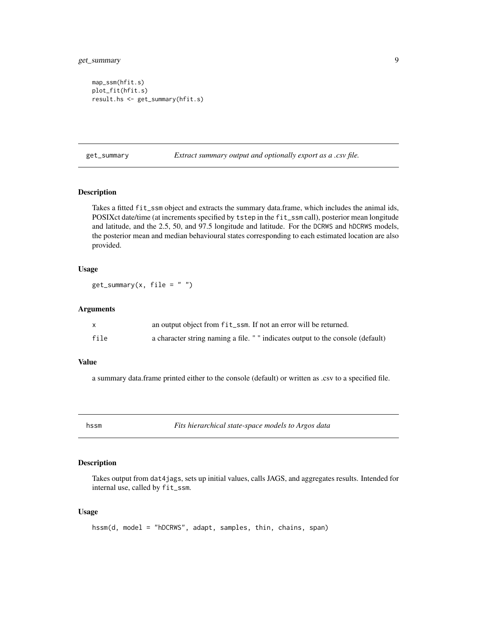```
map_ssm(hfit.s)
plot_fit(hfit.s)
result.hs <- get_summary(hfit.s)
```
get\_summary *Extract summary output and optionally export as a .csv file.*

#### Description

Takes a fitted fit\_ssm object and extracts the summary data.frame, which includes the animal ids, POSIXct date/time (at increments specified by tstep in the fit\_ssm call), posterior mean longitude and latitude, and the 2.5, 50, and 97.5 longitude and latitude. For the DCRWS and hDCRWS models, the posterior mean and median behavioural states corresponding to each estimated location are also provided.

#### Usage

 $get\_summary(x, file = "")$ 

#### Arguments

|      | an output object from fit_ssm. If not an error will be returned.                |
|------|---------------------------------------------------------------------------------|
| file | a character string naming a file. " " indicates output to the console (default) |

#### Value

a summary data.frame printed either to the console (default) or written as .csv to a specified file.

hssm *Fits hierarchical state-space models to Argos data*

#### Description

Takes output from dat4jags, sets up initial values, calls JAGS, and aggregates results. Intended for internal use, called by fit\_ssm.

#### Usage

```
hssm(d, model = "hDCRWS", adapt, samples, thin, chains, span)
```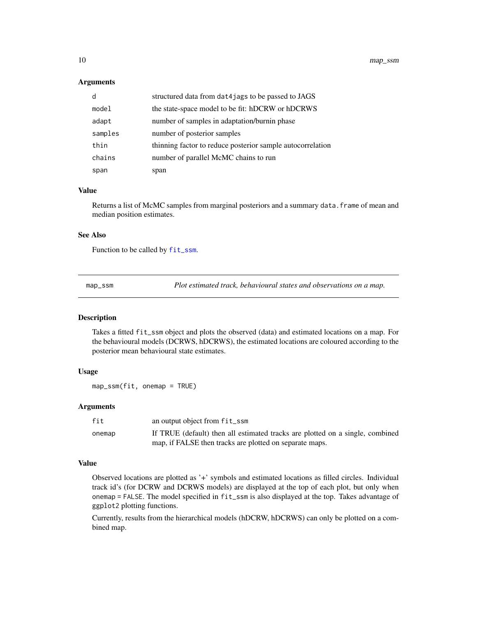#### <span id="page-9-0"></span>**Arguments**

| d       | structured data from dat4jags to be passed to JAGS         |
|---------|------------------------------------------------------------|
| model   | the state-space model to be fit: hDCRW or hDCRWS           |
| adapt   | number of samples in adaptation/burnin phase               |
| samples | number of posterior samples                                |
| thin    | thinning factor to reduce posterior sample autocorrelation |
| chains  | number of parallel McMC chains to run                      |
| span    | span                                                       |

#### Value

Returns a list of McMC samples from marginal posteriors and a summary data. frame of mean and median position estimates.

#### See Also

Function to be called by [fit\\_ssm](#page-5-1).

map\_ssm *Plot estimated track, behavioural states and observations on a map.*

#### Description

Takes a fitted fit\_ssm object and plots the observed (data) and estimated locations on a map. For the behavioural models (DCRWS, hDCRWS), the estimated locations are coloured according to the posterior mean behavioural state estimates.

#### Usage

map\_ssm(fit, onemap = TRUE)

#### Arguments

| fit    | an output object from fit_ssm                                                 |
|--------|-------------------------------------------------------------------------------|
| onemap | If TRUE (default) then all estimated tracks are plotted on a single, combined |
|        | map, if FALSE then tracks are plotted on separate maps.                       |

#### Value

Observed locations are plotted as '+' symbols and estimated locations as filled circles. Individual track id's (for DCRW and DCRWS models) are displayed at the top of each plot, but only when onemap = FALSE. The model specified in fit\_ssm is also displayed at the top. Takes advantage of ggplot2 plotting functions.

Currently, results from the hierarchical models (hDCRW, hDCRWS) can only be plotted on a combined map.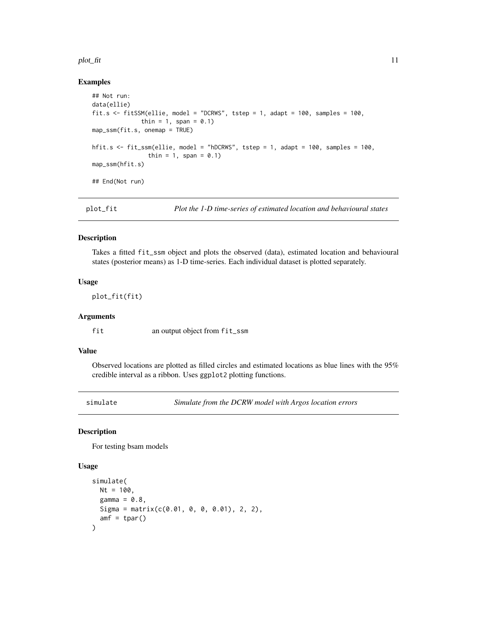#### <span id="page-10-0"></span>plot\_fit 11

#### Examples

```
## Not run:
data(ellie)
fit.s \le fitSSM(ellie, model = "DCRWS", tstep = 1, adapt = 100, samples = 100,
              thin = 1, span = 0.1)
map_ssm(fit.s, onemap = TRUE)
hfit.s <- fit_ssm(ellie, model = "hDCRWS", tstep = 1, adapt = 100, samples = 100,
                thin = 1, span = 0.1)
map_ssm(hfit.s)
## End(Not run)
```
#### Description

Takes a fitted fit\_ssm object and plots the observed (data), estimated location and behavioural states (posterior means) as 1-D time-series. Each individual dataset is plotted separately.

#### Usage

plot\_fit(fit)

#### Arguments

fit an output object from fit\_ssm

#### Value

Observed locations are plotted as filled circles and estimated locations as blue lines with the 95% credible interval as a ribbon. Uses ggplot2 plotting functions.

simulate *Simulate from the DCRW model with Argos location errors*

#### Description

For testing bsam models

#### Usage

```
simulate(
 Nt = 100,
 gamma = 0.8,
 Sigma = matrix(c(0.01, 0, 0, 0.01), 2, 2),
  amf = tpar())
```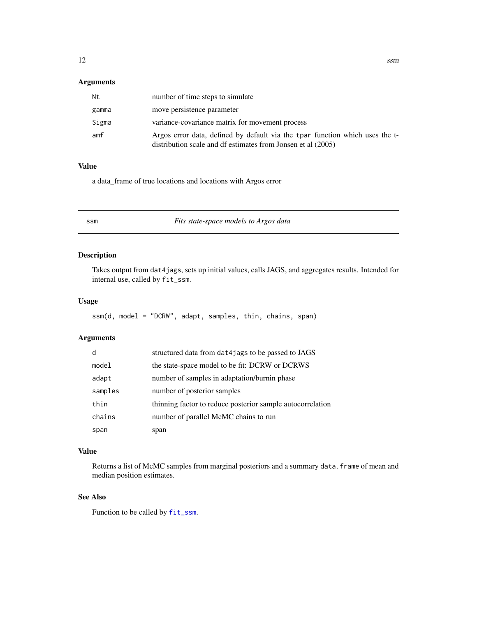#### <span id="page-11-0"></span>Arguments

| Νt    | number of time steps to simulate                                                                                                             |
|-------|----------------------------------------------------------------------------------------------------------------------------------------------|
| gamma | move persistence parameter                                                                                                                   |
| Sigma | variance-covariance matrix for movement process                                                                                              |
| amf   | Argos error data, defined by default via the tpar function which uses the t-<br>distribution scale and df estimates from Jonsen et al (2005) |

#### Value

a data\_frame of true locations and locations with Argos error

ssm *Fits state-space models to Argos data*

#### Description

Takes output from dat4jags, sets up initial values, calls JAGS, and aggregates results. Intended for internal use, called by fit\_ssm.

#### Usage

ssm(d, model = "DCRW", adapt, samples, thin, chains, span)

#### Arguments

| d       | structured data from dat4jags to be passed to JAGS         |
|---------|------------------------------------------------------------|
| model   | the state-space model to be fit: DCRW or DCRWS             |
| adapt   | number of samples in adaptation/burnin phase               |
| samples | number of posterior samples                                |
| thin    | thinning factor to reduce posterior sample autocorrelation |
| chains  | number of parallel McMC chains to run                      |
| span    | span                                                       |

#### Value

Returns a list of McMC samples from marginal posteriors and a summary data. frame of mean and median position estimates.

#### See Also

Function to be called by [fit\\_ssm](#page-5-1).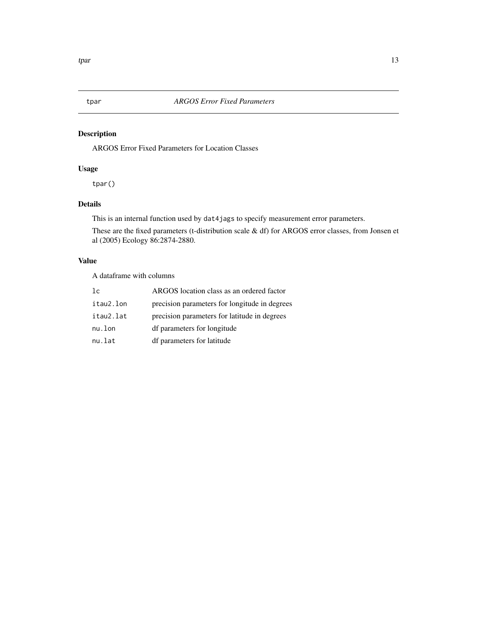<span id="page-12-0"></span>

#### Description

ARGOS Error Fixed Parameters for Location Classes

#### Usage

tpar()

#### Details

This is an internal function used by dat4jags to specify measurement error parameters.

These are the fixed parameters (t-distribution scale & df) for ARGOS error classes, from Jonsen et al (2005) Ecology 86:2874-2880.

#### Value

A dataframe with columns

| 1c        | ARGOS location class as an ordered factor     |
|-----------|-----------------------------------------------|
| itau2.lon | precision parameters for longitude in degrees |
| itau2.lat | precision parameters for latitude in degrees  |
| nu.lon    | df parameters for longitude                   |
| nu.lat    | df parameters for latitude                    |